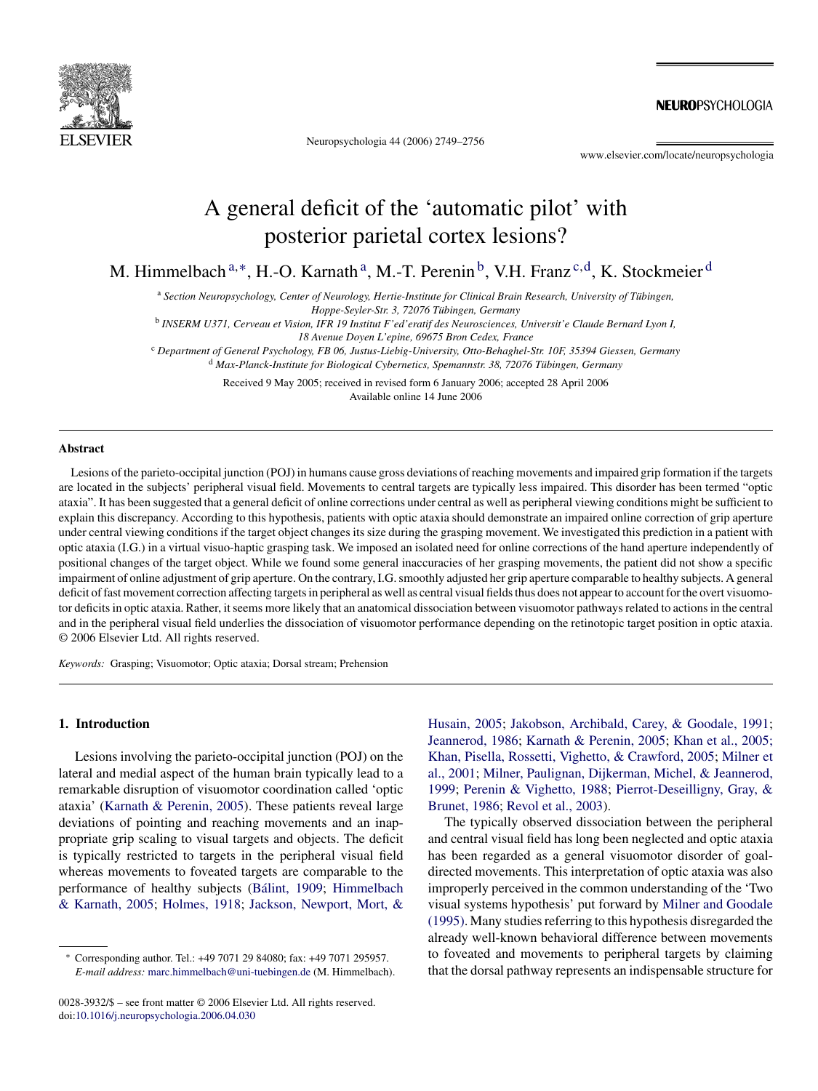

Neuropsychologia 44 (2006) 2749–2756

NEUROPSYCHOLOGIA

www.elsevier.com/locate/neuropsychologia

# A general deficit of the 'automatic pilot' with posterior parietal cortex lesions?

M. Himmelbach<sup>a,∗</sup>, H.-O. Karnath<sup>a</sup>, M.-T. Perenin<sup>b</sup>, V.H. Franz<sup>c,d</sup>, K. Stockmeier<sup>d</sup>

<sup>a</sup> Section Neuropsychology, Center of Neurology, Hertie-Institute for Clinical Brain Research, University of Tübingen,

<sup>b</sup> *INSERM U371, Cerveau et Vision, IFR 19 Institut F'ed'eratif des Neurosciences, Universit'e Claude Bernard Lyon I,*

*18 Avenue Doyen L'epine, 69675 Bron Cedex, France*

<sup>c</sup> *Department of General Psychology, FB 06, Justus-Liebig-University, Otto-Behaghel-Str. 10F, 35394 Giessen, Germany*

<sup>d</sup> Max-Planck-Institute for Biological Cybernetics, Spemannstr. 38, 72076 Tübingen, Germany

Received 9 May 2005; received in revised form 6 January 2006; accepted 28 April 2006 Available online 14 June 2006

## **Abstract**

Lesions of the parieto-occipital junction (POJ) in humans cause gross deviations of reaching movements and impaired grip formation if the targets are located in the subjects' peripheral visual field. Movements to central targets are typically less impaired. This disorder has been termed "optic ataxia". It has been suggested that a general deficit of online corrections under central as well as peripheral viewing conditions might be sufficient to explain this discrepancy. According to this hypothesis, patients with optic ataxia should demonstrate an impaired online correction of grip aperture under central viewing conditions if the target object changes its size during the grasping movement. We investigated this prediction in a patient with optic ataxia (I.G.) in a virtual visuo-haptic grasping task. We imposed an isolated need for online corrections of the hand aperture independently of positional changes of the target object. While we found some general inaccuracies of her grasping movements, the patient did not show a specific impairment of online adjustment of grip aperture. On the contrary, I.G. smoothly adjusted her grip aperture comparable to healthy subjects. A general deficit of fast movement correction affecting targets in peripheral as well as central visual fields thus does not appear to account for the overt visuomotor deficits in optic ataxia. Rather, it seems more likely that an anatomical dissociation between visuomotor pathways related to actions in the central and in the peripheral visual field underlies the dissociation of visuomotor performance depending on the retinotopic target position in optic ataxia. © 2006 Elsevier Ltd. All rights reserved.

*Keywords:* Grasping; Visuomotor; Optic ataxia; Dorsal stream; Prehension

## **1. Introduction**

Lesions involving the parieto-occipital junction (POJ) on the lateral and medial aspect of the human brain typically lead to a remarkable disruption of visuomotor coordination called 'optic ataxia' [\(Karnath & Perenin, 2005\).](#page-6-0) These patients reveal large deviations of pointing and reaching movements and an inappropriate grip scaling to visual targets and objects. The deficit is typically restricted to targets in the peripheral visual field whereas movements to foveated targets are comparable to the performance of healthy subjects (Bálint, 1909; [Himmelbach](#page-6-0) [& Karnath, 2005;](#page-6-0) [Holmes, 1918;](#page-6-0) [Jackson, Newport, Mort, &](#page-6-0)

[Husain, 2005;](#page-6-0) [Jakobson, Archibald, Carey, & Goodale, 1991;](#page-6-0) [Jeannerod, 1986;](#page-6-0) [Karnath & Perenin, 2005;](#page-6-0) [Khan et al., 2005;](#page-6-0) [Khan, Pisella, Rossetti, Vighetto, & Crawford, 2005;](#page-6-0) [Milner et](#page-6-0) [al., 2001;](#page-6-0) [Milner, Paulignan, Dijkerman, Michel, & Jeannerod,](#page-6-0) [1999;](#page-6-0) [Perenin & Vighetto, 1988;](#page-7-0) [Pierrot-Deseilligny, Gray, &](#page-7-0) [Brunet, 1986;](#page-7-0) [Revol et al., 2003\).](#page-7-0)

The typically observed dissociation between the peripheral and central visual field has long been neglected and optic ataxia has been regarded as a general visuomotor disorder of goaldirected movements. This interpretation of optic ataxia was also improperly perceived in the common understanding of the 'Two visual systems hypothesis' put forward by [Milner and Goodale](#page-6-0) [\(1995\). M](#page-6-0)any studies referring to this hypothesis disregarded the already well-known behavioral difference between movements to foveated and movements to peripheral targets by claiming that the dorsal pathway represents an indispensable structure for

*Hoppe-Seyler-Str. 3, 72076 T ¨ubingen, Germany*

<sup>∗</sup> Corresponding author. Tel.: +49 7071 29 84080; fax: +49 7071 295957. *E-mail address:* [marc.himmelbach@uni-tuebingen.de](mailto:marc.himmelbach@uni-tuebingen.de) (M. Himmelbach).

<sup>0028-3932/\$ –</sup> see front matter © 2006 Elsevier Ltd. All rights reserved. doi[:10.1016/j.neuropsychologia.2006.04.030](dx.doi.org/10.1016/j.neuropsychologia.2006.04.030)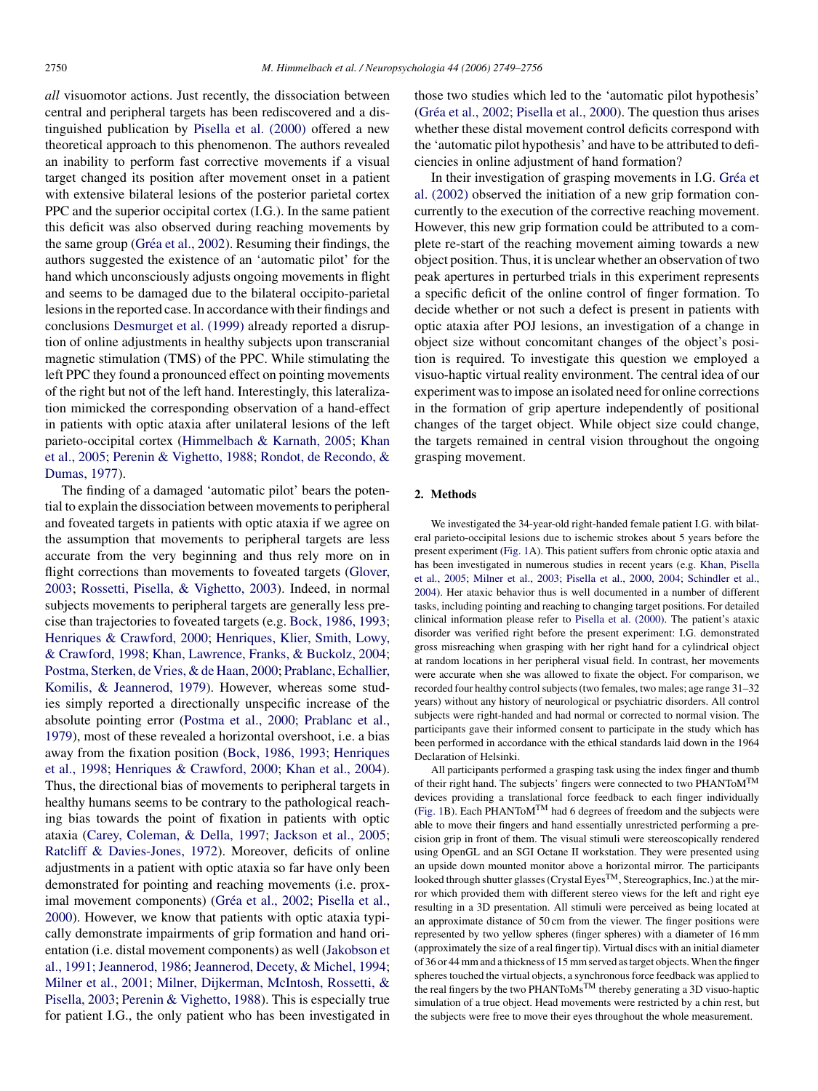*all* visuomotor actions. Just recently, the dissociation between central and peripheral targets has been rediscovered and a distinguished publication by [Pisella et al. \(2000\)](#page-7-0) offered a new theoretical approach to this phenomenon. The authors revealed an inability to perform fast corrective movements if a visual target changed its position after movement onset in a patient with extensive bilateral lesions of the posterior parietal cortex PPC and the superior occipital cortex (I.G.). In the same patient this deficit was also observed during reaching movements by the same group (Gréa et al., 2002). Resuming their findings, the authors suggested the existence of an 'automatic pilot' for the hand which unconsciously adjusts ongoing movements in flight and seems to be damaged due to the bilateral occipito-parietal lesions in the reported case. In accordance with their findings and conclusions [Desmurget et al. \(1999\)](#page-6-0) already reported a disruption of online adjustments in healthy subjects upon transcranial magnetic stimulation (TMS) of the PPC. While stimulating the left PPC they found a pronounced effect on pointing movements of the right but not of the left hand. Interestingly, this lateralization mimicked the corresponding observation of a hand-effect in patients with optic ataxia after unilateral lesions of the left parieto-occipital cortex ([Himmelbach & Karnath, 2005;](#page-6-0) [Khan](#page-6-0) [et al., 2005;](#page-6-0) [Perenin & Vighetto, 1988;](#page-7-0) [Rondot, de Recondo, &](#page-7-0) [Dumas, 1977\).](#page-7-0)

The finding of a damaged 'automatic pilot' bears the potential to explain the dissociation between movements to peripheral and foveated targets in patients with optic ataxia if we agree on the assumption that movements to peripheral targets are less accurate from the very beginning and thus rely more on in flight corrections than movements to foveated targets [\(Glover,](#page-6-0) [2003;](#page-6-0) [Rossetti, Pisella, & Vighetto, 2003\).](#page-7-0) Indeed, in normal subjects movements to peripheral targets are generally less precise than trajectories to foveated targets (e.g. [Bock, 1986, 1993;](#page-6-0) [Henriques & Crawford, 2000;](#page-6-0) [Henriques, Klier, Smith, Lowy,](#page-6-0) [& Crawford, 1998;](#page-6-0) [Khan, Lawrence, Franks, & Buckolz, 2004;](#page-6-0) [Postma, Sterken, de Vries, & de Haan, 2000;](#page-7-0) [Prablanc, Echallier,](#page-7-0) [Komilis, & Jeannerod, 1979\).](#page-7-0) However, whereas some studies simply reported a directionally unspecific increase of the absolute pointing error [\(Postma et al., 2000; Prablanc et al.,](#page-7-0) [1979\),](#page-7-0) most of these revealed a horizontal overshoot, i.e. a bias away from the fixation position ([Bock, 1986, 1993;](#page-6-0) [Henriques](#page-6-0) [et al., 1998;](#page-6-0) [Henriques & Crawford, 2000;](#page-6-0) [Khan et al., 2004\).](#page-6-0) Thus, the directional bias of movements to peripheral targets in healthy humans seems to be contrary to the pathological reaching bias towards the point of fixation in patients with optic ataxia [\(Carey, Coleman, & Della, 1997;](#page-6-0) [Jackson et al., 2005;](#page-6-0) [Ratcliff & Davies-Jones, 1972\).](#page-7-0) Moreover, deficits of online adjustments in a patient with optic ataxia so far have only been demonstrated for pointing and reaching movements (i.e. proximal movement components) (Gréa et al., 2002; Pisella et al., [2000\).](#page-6-0) However, we know that patients with optic ataxia typically demonstrate impairments of grip formation and hand orientation (i.e. distal movement components) as well ([Jakobson et](#page-6-0) [al., 1991; Jeannerod, 1986;](#page-6-0) [Jeannerod, Decety, & Michel, 1994;](#page-6-0) [Milner et al., 2001;](#page-6-0) [Milner, Dijkerman, McIntosh, Rossetti, &](#page-6-0) [Pisella, 2003;](#page-6-0) [Perenin & Vighetto, 1988\).](#page-7-0) This is especially true for patient I.G., the only patient who has been investigated in those two studies which led to the 'automatic pilot hypothesis' (Gréa et al.,  $2002$ ; Pisella et al.,  $2000$ ). The question thus arises whether these distal movement control deficits correspond with the 'automatic pilot hypothesis' and have to be attributed to deficiencies in online adjustment of hand formation?

In their investigation of grasping movements in I.G. Gréa et [al. \(2002\)](#page-6-0) observed the initiation of a new grip formation concurrently to the execution of the corrective reaching movement. However, this new grip formation could be attributed to a complete re-start of the reaching movement aiming towards a new object position. Thus, it is unclear whether an observation of two peak apertures in perturbed trials in this experiment represents a specific deficit of the online control of finger formation. To decide whether or not such a defect is present in patients with optic ataxia after POJ lesions, an investigation of a change in object size without concomitant changes of the object's position is required. To investigate this question we employed a visuo-haptic virtual reality environment. The central idea of our experiment was to impose an isolated need for online corrections in the formation of grip aperture independently of positional changes of the target object. While object size could change, the targets remained in central vision throughout the ongoing grasping movement.

## **2. Methods**

We investigated the 34-year-old right-handed female patient I.G. with bilateral parieto-occipital lesions due to ischemic strokes about 5 years before the present experiment ([Fig. 1A](#page-2-0)). This patient suffers from chronic optic ataxia and has been investigated in numerous studies in recent years (e.g. [Khan, Pisella](#page-6-0) [et al., 2005;](#page-6-0) [Milner et al., 2003; Pisella et al., 2000, 2004; Schindler et al.,](#page-6-0) [2004\).](#page-6-0) Her ataxic behavior thus is well documented in a number of different tasks, including pointing and reaching to changing target positions. For detailed clinical information please refer to [Pisella et al. \(2000\). T](#page-7-0)he patient's ataxic disorder was verified right before the present experiment: I.G. demonstrated gross misreaching when grasping with her right hand for a cylindrical object at random locations in her peripheral visual field. In contrast, her movements were accurate when she was allowed to fixate the object. For comparison, we recorded four healthy control subjects (two females, two males; age range 31–32 years) without any history of neurological or psychiatric disorders. All control subjects were right-handed and had normal or corrected to normal vision. The participants gave their informed consent to participate in the study which has been performed in accordance with the ethical standards laid down in the 1964 Declaration of Helsinki.

All participants performed a grasping task using the index finger and thumb of their right hand. The subjects' fingers were connected to two PHANTo $M^{TM}$ devices providing a translational force feedback to each finger individually [\(Fig. 1B](#page-2-0)). Each PHANToMTM had 6 degrees of freedom and the subjects were able to move their fingers and hand essentially unrestricted performing a precision grip in front of them. The visual stimuli were stereoscopically rendered using OpenGL and an SGI Octane II workstation. They were presented using an upside down mounted monitor above a horizontal mirror. The participants looked through shutter glasses (Crystal Eyes<sup>TM</sup>, Stereographics, Inc.) at the mirror which provided them with different stereo views for the left and right eye resulting in a 3D presentation. All stimuli were perceived as being located at an approximate distance of 50 cm from the viewer. The finger positions were represented by two yellow spheres (finger spheres) with a diameter of 16 mm (approximately the size of a real finger tip). Virtual discs with an initial diameter of 36 or 44 mm and a thickness of 15 mm served as target objects. When the finger spheres touched the virtual objects, a synchronous force feedback was applied to the real fingers by the two PHANToMs<sup>TM</sup> thereby generating a 3D visuo-haptic simulation of a true object. Head movements were restricted by a chin rest, but the subjects were free to move their eyes throughout the whole measurement.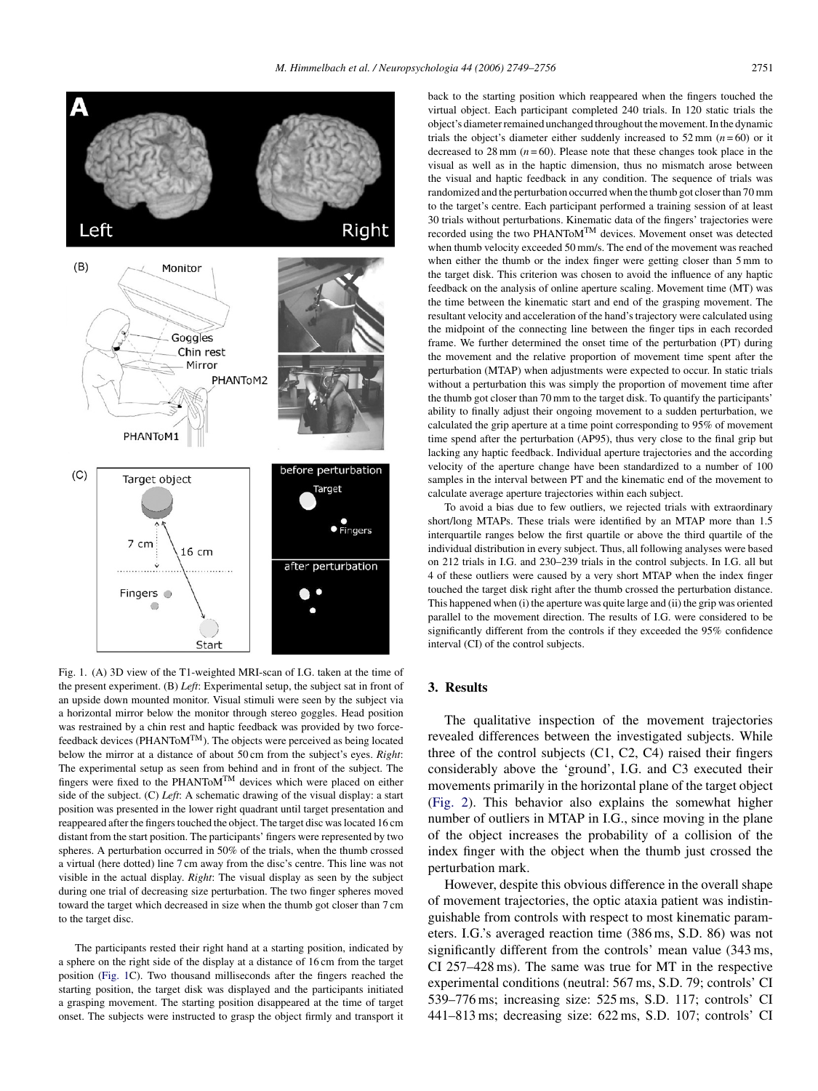<span id="page-2-0"></span>

Fig. 1. (A) 3D view of the T1-weighted MRI-scan of I.G. taken at the time of the present experiment. (B) *Left*: Experimental setup, the subject sat in front of an upside down mounted monitor. Visual stimuli were seen by the subject via a horizontal mirror below the monitor through stereo goggles. Head position was restrained by a chin rest and haptic feedback was provided by two forcefeedback devices (PHANToMTM). The objects were perceived as being located below the mirror at a distance of about 50 cm from the subject's eyes. *Right*: The experimental setup as seen from behind and in front of the subject. The fingers were fixed to the PHANTo $M^{TM}$  devices which were placed on either side of the subject. (C) *Left*: A schematic drawing of the visual display: a start position was presented in the lower right quadrant until target presentation and reappeared after the fingers touched the object. The target disc was located 16 cm distant from the start position. The participants' fingers were represented by two spheres. A perturbation occurred in 50% of the trials, when the thumb crossed a virtual (here dotted) line 7 cm away from the disc's centre. This line was not visible in the actual display. *Right*: The visual display as seen by the subject during one trial of decreasing size perturbation. The two finger spheres moved toward the target which decreased in size when the thumb got closer than 7 cm to the target disc.

The participants rested their right hand at a starting position, indicated by a sphere on the right side of the display at a distance of 16 cm from the target position (Fig. 1C). Two thousand milliseconds after the fingers reached the starting position, the target disk was displayed and the participants initiated a grasping movement. The starting position disappeared at the time of target onset. The subjects were instructed to grasp the object firmly and transport it back to the starting position which reappeared when the fingers touched the virtual object. Each participant completed 240 trials. In 120 static trials the object's diameter remained unchanged throughout the movement. In the dynamic trials the object's diameter either suddenly increased to  $52 \text{ mm}$  ( $n = 60$ ) or it decreased to 28 mm  $(n = 60)$ . Please note that these changes took place in the visual as well as in the haptic dimension, thus no mismatch arose between the visual and haptic feedback in any condition. The sequence of trials was randomized and the perturbation occurred when the thumb got closer than 70 mm to the target's centre. Each participant performed a training session of at least 30 trials without perturbations. Kinematic data of the fingers' trajectories were recorded using the two PHANToMTM devices. Movement onset was detected when thumb velocity exceeded 50 mm/s. The end of the movement was reached when either the thumb or the index finger were getting closer than 5 mm to the target disk. This criterion was chosen to avoid the influence of any haptic feedback on the analysis of online aperture scaling. Movement time (MT) was the time between the kinematic start and end of the grasping movement. The resultant velocity and acceleration of the hand's trajectory were calculated using the midpoint of the connecting line between the finger tips in each recorded frame. We further determined the onset time of the perturbation (PT) during the movement and the relative proportion of movement time spent after the perturbation (MTAP) when adjustments were expected to occur. In static trials without a perturbation this was simply the proportion of movement time after the thumb got closer than 70 mm to the target disk. To quantify the participants' ability to finally adjust their ongoing movement to a sudden perturbation, we calculated the grip aperture at a time point corresponding to 95% of movement time spend after the perturbation (AP95), thus very close to the final grip but lacking any haptic feedback. Individual aperture trajectories and the according velocity of the aperture change have been standardized to a number of 100 samples in the interval between PT and the kinematic end of the movement to calculate average aperture trajectories within each subject.

To avoid a bias due to few outliers, we rejected trials with extraordinary short/long MTAPs. These trials were identified by an MTAP more than 1.5 interquartile ranges below the first quartile or above the third quartile of the individual distribution in every subject. Thus, all following analyses were based on 212 trials in I.G. and 230–239 trials in the control subjects. In I.G. all but 4 of these outliers were caused by a very short MTAP when the index finger touched the target disk right after the thumb crossed the perturbation distance. This happened when (i) the aperture was quite large and (ii) the grip was oriented parallel to the movement direction. The results of I.G. were considered to be significantly different from the controls if they exceeded the 95% confidence interval (CI) of the control subjects.

# **3. Results**

The qualitative inspection of the movement trajectories revealed differences between the investigated subjects. While three of the control subjects (C1, C2, C4) raised their fingers considerably above the 'ground', I.G. and C3 executed their movements primarily in the horizontal plane of the target object ([Fig. 2\)](#page-3-0). This behavior also explains the somewhat higher number of outliers in MTAP in I.G., since moving in the plane of the object increases the probability of a collision of the index finger with the object when the thumb just crossed the perturbation mark.

However, despite this obvious difference in the overall shape of movement trajectories, the optic ataxia patient was indistinguishable from controls with respect to most kinematic parameters. I.G.'s averaged reaction time (386 ms, S.D. 86) was not significantly different from the controls' mean value (343 ms, CI 257–428 ms). The same was true for MT in the respective experimental conditions (neutral: 567 ms, S.D. 79; controls' CI 539–776 ms; increasing size: 525 ms, S.D. 117; controls' CI 441–813 ms; decreasing size: 622 ms, S.D. 107; controls' CI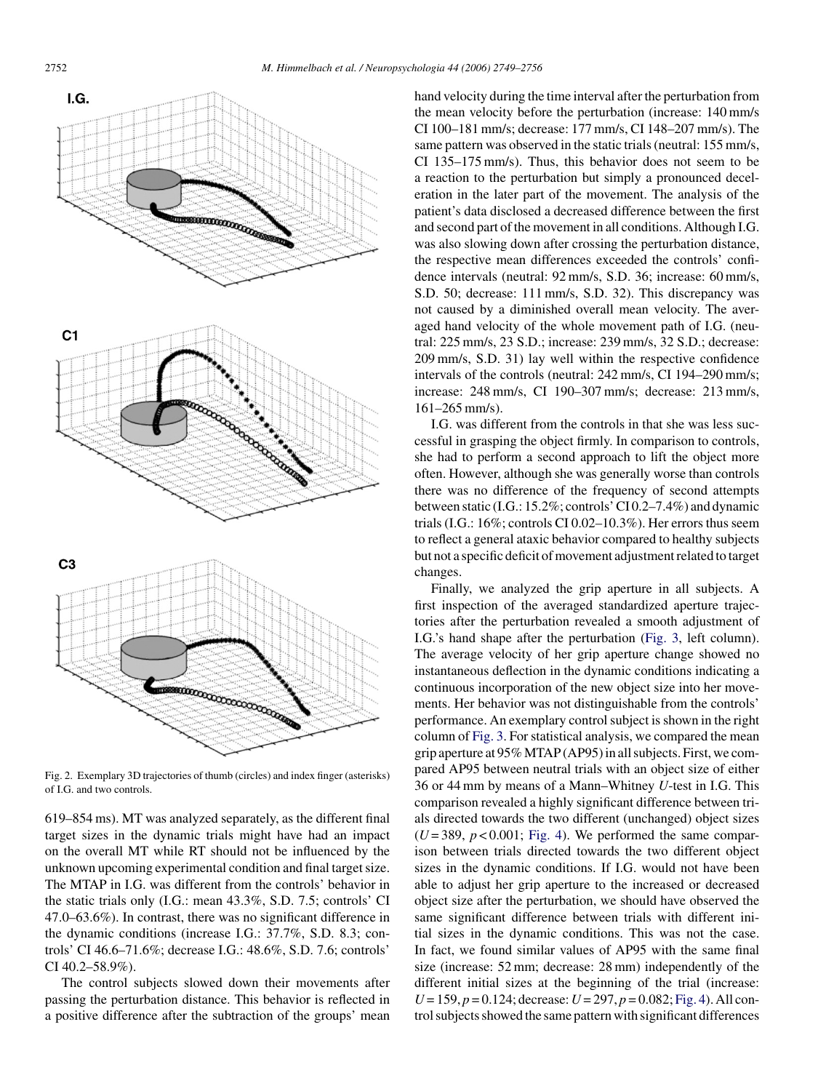<span id="page-3-0"></span>

Fig. 2. Exemplary 3D trajectories of thumb (circles) and index finger (asterisks) of I.G. and two controls.

619–854 ms). MT was analyzed separately, as the different final target sizes in the dynamic trials might have had an impact on the overall MT while RT should not be influenced by the unknown upcoming experimental condition and final target size. The MTAP in I.G. was different from the controls' behavior in the static trials only (I.G.: mean 43.3%, S.D. 7.5; controls' CI 47.0–63.6%). In contrast, there was no significant difference in the dynamic conditions (increase I.G.: 37.7%, S.D. 8.3; controls' CI 46.6–71.6%; decrease I.G.: 48.6%, S.D. 7.6; controls' CI 40.2–58.9%).

The control subjects slowed down their movements after passing the perturbation distance. This behavior is reflected in a positive difference after the subtraction of the groups' mean hand velocity during the time interval after the perturbation from the mean velocity before the perturbation (increase: 140 mm/s CI 100–181 mm/s; decrease: 177 mm/s, CI 148–207 mm/s). The same pattern was observed in the static trials (neutral: 155 mm/s, CI 135–175 mm/s). Thus, this behavior does not seem to be a reaction to the perturbation but simply a pronounced deceleration in the later part of the movement. The analysis of the patient's data disclosed a decreased difference between the first and second part of the movement in all conditions. Although I.G. was also slowing down after crossing the perturbation distance, the respective mean differences exceeded the controls' confidence intervals (neutral: 92 mm/s, S.D. 36; increase: 60 mm/s, S.D. 50; decrease: 111 mm/s, S.D. 32). This discrepancy was not caused by a diminished overall mean velocity. The averaged hand velocity of the whole movement path of I.G. (neutral: 225 mm/s, 23 S.D.; increase: 239 mm/s, 32 S.D.; decrease: 209 mm/s, S.D. 31) lay well within the respective confidence intervals of the controls (neutral: 242 mm/s, CI 194–290 mm/s; increase: 248 mm/s, CI 190–307 mm/s; decrease: 213 mm/s, 161–265 mm/s).

I.G. was different from the controls in that she was less successful in grasping the object firmly. In comparison to controls, she had to perform a second approach to lift the object more often. However, although she was generally worse than controls there was no difference of the frequency of second attempts between static (I.G.: 15.2%; controls' CI 0.2–7.4%) and dynamic trials (I.G.: 16%; controls CI 0.02–10.3%). Her errors thus seem to reflect a general ataxic behavior compared to healthy subjects but not a specific deficit of movement adjustment related to target changes.

Finally, we analyzed the grip aperture in all subjects. A first inspection of the averaged standardized aperture trajectories after the perturbation revealed a smooth adjustment of I.G.'s hand shape after the perturbation ([Fig. 3,](#page-4-0) left column). The average velocity of her grip aperture change showed no instantaneous deflection in the dynamic conditions indicating a continuous incorporation of the new object size into her movements. Her behavior was not distinguishable from the controls' performance. An exemplary control subject is shown in the right column of [Fig. 3. F](#page-4-0)or statistical analysis, we compared the mean grip aperture at 95% MTAP (AP95) in all subjects. First, we compared AP95 between neutral trials with an object size of either 36 or 44 mm by means of a Mann–Whitney *U*-test in I.G. This comparison revealed a highly significant difference between trials directed towards the two different (unchanged) object sizes  $(U=389, p<0.001;$  [Fig. 4\).](#page-5-0) We performed the same comparison between trials directed towards the two different object sizes in the dynamic conditions. If I.G. would not have been able to adjust her grip aperture to the increased or decreased object size after the perturbation, we should have observed the same significant difference between trials with different initial sizes in the dynamic conditions. This was not the case. In fact, we found similar values of AP95 with the same final size (increase: 52 mm; decrease: 28 mm) independently of the different initial sizes at the beginning of the trial (increase:  $U = 159, p = 0.124$ ; decrease:  $U = 297, p = 0.082$ ; [Fig. 4\).](#page-5-0) All control subjects showed the same pattern with significant differences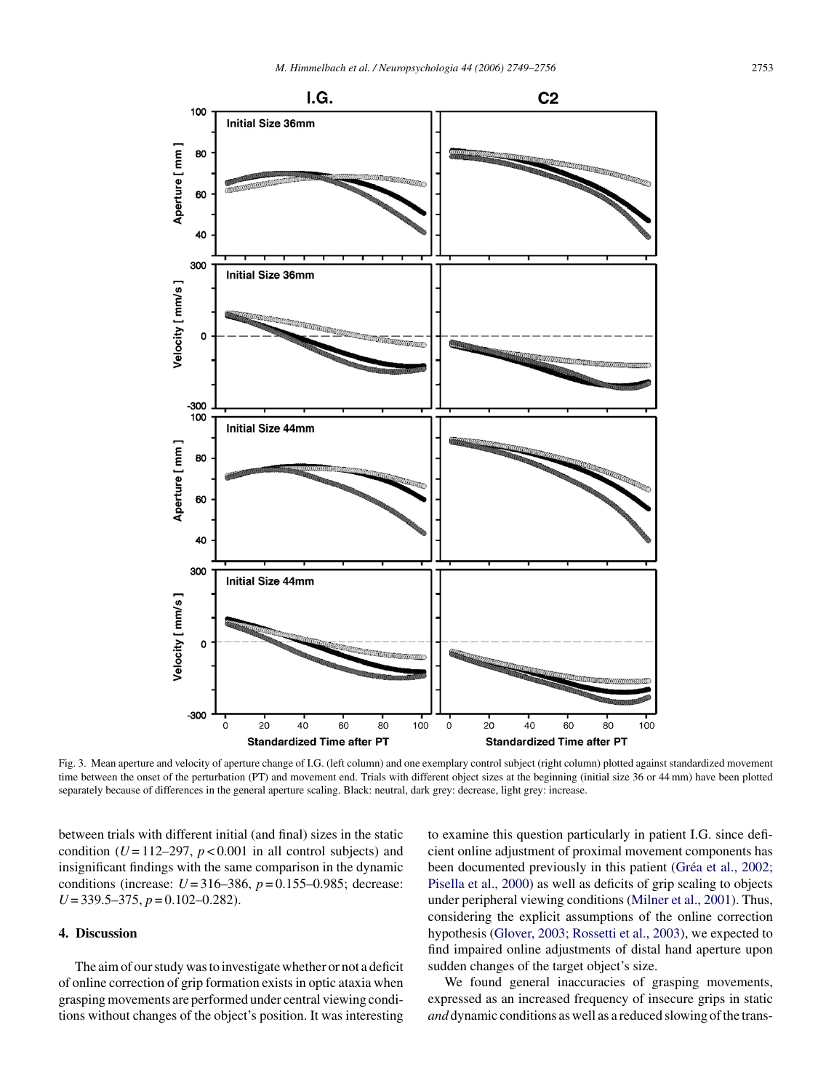<span id="page-4-0"></span>

Fig. 3. Mean aperture and velocity of aperture change of I.G. (left column) and one exemplary control subject (right column) plotted against standardized movement time between the onset of the perturbation (PT) and movement end. Trials with different object sizes at the beginning (initial size 36 or 44 mm) have been plotted separately because of differences in the general aperture scaling. Black: neutral, dark grey: decrease, light grey: increase.

between trials with different initial (and final) sizes in the static condition  $(U=112-297, p<0.001$  in all control subjects) and insignificant findings with the same comparison in the dynamic conditions (increase: *U* = 316–386, *p* = 0.155–0.985; decrease: *U* = 339.5–375, *p* = 0.102–0.282).

## **4. Discussion**

The aim of our study was to investigate whether or not a deficit of online correction of grip formation exists in optic ataxia when grasping movements are performed under central viewing conditions without changes of the object's position. It was interesting

to examine this question particularly in patient I.G. since deficient online adjustment of proximal movement components has been documented previously in this patient (Gréa et al., 2002; [Pisella et al., 2000\)](#page-6-0) as well as deficits of grip scaling to objects under peripheral viewing conditions ([Milner et al., 2001\).](#page-6-0) Thus, considering the explicit assumptions of the online correction hypothesis ([Glover, 2003; Rossetti et al., 2003\),](#page-6-0) we expected to find impaired online adjustments of distal hand aperture upon sudden changes of the target object's size.

We found general inaccuracies of grasping movements, expressed as an increased frequency of insecure grips in static *and* dynamic conditions as well as a reduced slowing of the trans-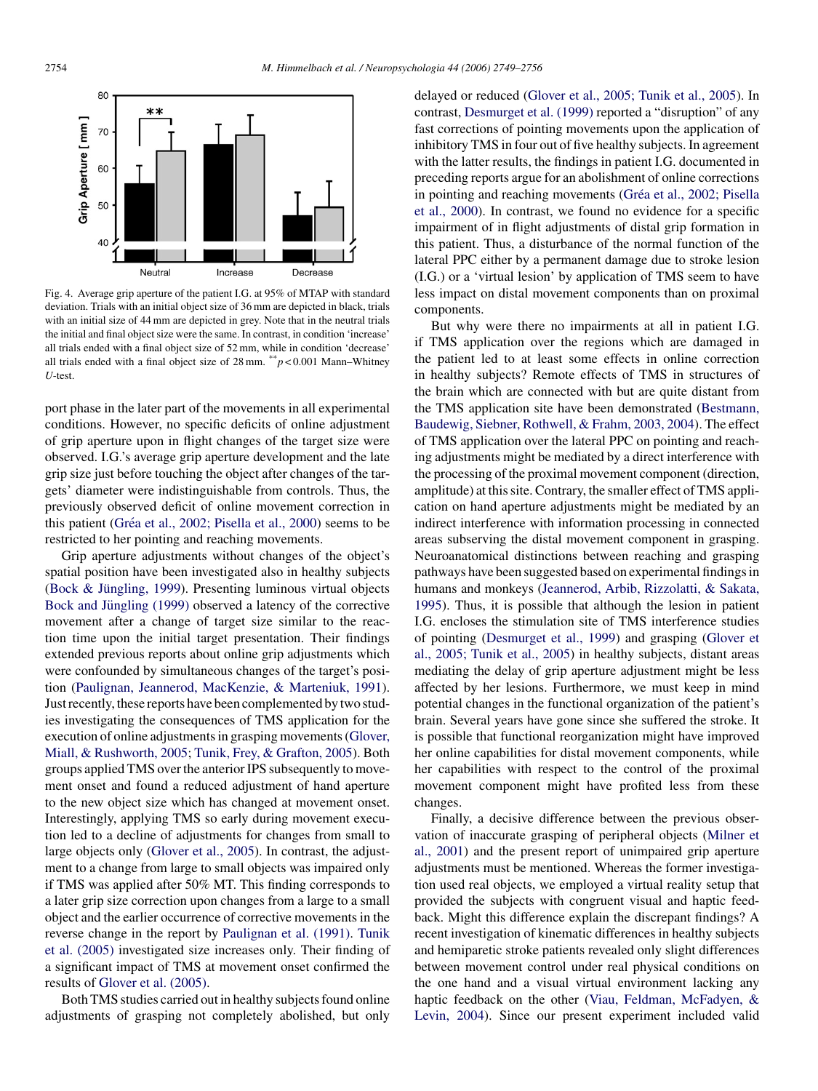<span id="page-5-0"></span>

Fig. 4. Average grip aperture of the patient I.G. at 95% of MTAP with standard deviation. Trials with an initial object size of 36 mm are depicted in black, trials with an initial size of 44 mm are depicted in grey. Note that in the neutral trials the initial and final object size were the same. In contrast, in condition 'increase' all trials ended with a final object size of 52 mm, while in condition 'decrease' all trials ended with a final object size of  $28 \text{ mm}$ . \*\**p* < 0.001 Mann–Whitney *U*-test.

port phase in the later part of the movements in all experimental conditions. However, no specific deficits of online adjustment of grip aperture upon in flight changes of the target size were observed. I.G.'s average grip aperture development and the late grip size just before touching the object after changes of the targets' diameter were indistinguishable from controls. Thus, the previously observed deficit of online movement correction in this patient (Gréa et al., 2002; Pisella et al., 2000) seems to be restricted to her pointing and reaching movements.

Grip aperture adjustments without changes of the object's spatial position have been investigated also in healthy subjects (Bock  $&$  Jüngling, 1999). Presenting luminous virtual objects Bock and Jüngling (1999) observed a latency of the corrective movement after a change of target size similar to the reaction time upon the initial target presentation. Their findings extended previous reports about online grip adjustments which were confounded by simultaneous changes of the target's position [\(Paulignan, Jeannerod, MacKenzie, & Marteniuk, 1991\).](#page-7-0) Just recently, these reports have been complemented by two studies investigating the consequences of TMS application for the execution of online adjustments in grasping movements [\(Glover,](#page-6-0) [Miall, & Rushworth, 2005;](#page-6-0) [Tunik, Frey, & Grafton, 2005\).](#page-7-0) Both groups applied TMS over the anterior IPS subsequently to movement onset and found a reduced adjustment of hand aperture to the new object size which has changed at movement onset. Interestingly, applying TMS so early during movement execution led to a decline of adjustments for changes from small to large objects only [\(Glover et al., 2005\).](#page-6-0) In contrast, the adjustment to a change from large to small objects was impaired only if TMS was applied after 50% MT. This finding corresponds to a later grip size correction upon changes from a large to a small object and the earlier occurrence of corrective movements in the reverse change in the report by [Paulignan et al. \(1991\).](#page-7-0) [Tunik](#page-7-0) [et al. \(2005\)](#page-7-0) investigated size increases only. Their finding of a significant impact of TMS at movement onset confirmed the results of [Glover et al. \(2005\).](#page-6-0)

Both TMS studies carried out in healthy subjects found online adjustments of grasping not completely abolished, but only

delayed or reduced [\(Glover et al., 2005; Tunik et al., 2005\).](#page-6-0) In contrast, [Desmurget et al. \(1999\)](#page-6-0) reported a "disruption" of any fast corrections of pointing movements upon the application of inhibitory TMS in four out of five healthy subjects. In agreement with the latter results, the findings in patient I.G. documented in preceding reports argue for an abolishment of online corrections in pointing and reaching movements (Gréa et al., 2002; Pisella [et al., 2000\).](#page-6-0) In contrast, we found no evidence for a specific impairment of in flight adjustments of distal grip formation in this patient. Thus, a disturbance of the normal function of the lateral PPC either by a permanent damage due to stroke lesion (I.G.) or a 'virtual lesion' by application of TMS seem to have less impact on distal movement components than on proximal components.

But why were there no impairments at all in patient I.G. if TMS application over the regions which are damaged in the patient led to at least some effects in online correction in healthy subjects? Remote effects of TMS in structures of the brain which are connected with but are quite distant from the TMS application site have been demonstrated ([Bestmann,](#page-6-0) [Baudewig, Siebner, Rothwell, & Frahm, 2003, 2004\).](#page-6-0) The effect of TMS application over the lateral PPC on pointing and reaching adjustments might be mediated by a direct interference with the processing of the proximal movement component (direction, amplitude) at this site. Contrary, the smaller effect of TMS application on hand aperture adjustments might be mediated by an indirect interference with information processing in connected areas subserving the distal movement component in grasping. Neuroanatomical distinctions between reaching and grasping pathways have been suggested based on experimental findings in humans and monkeys ([Jeannerod, Arbib, Rizzolatti, & Sakata,](#page-6-0) [1995\).](#page-6-0) Thus, it is possible that although the lesion in patient I.G. encloses the stimulation site of TMS interference studies of pointing [\(Desmurget et al., 1999\)](#page-6-0) and grasping ([Glover et](#page-6-0) [al., 2005; Tunik et al., 2005\)](#page-6-0) in healthy subjects, distant areas mediating the delay of grip aperture adjustment might be less affected by her lesions. Furthermore, we must keep in mind potential changes in the functional organization of the patient's brain. Several years have gone since she suffered the stroke. It is possible that functional reorganization might have improved her online capabilities for distal movement components, while her capabilities with respect to the control of the proximal movement component might have profited less from these changes.

Finally, a decisive difference between the previous observation of inaccurate grasping of peripheral objects [\(Milner et](#page-6-0) [al., 2001\)](#page-6-0) and the present report of unimpaired grip aperture adjustments must be mentioned. Whereas the former investigation used real objects, we employed a virtual reality setup that provided the subjects with congruent visual and haptic feedback. Might this difference explain the discrepant findings? A recent investigation of kinematic differences in healthy subjects and hemiparetic stroke patients revealed only slight differences between movement control under real physical conditions on the one hand and a visual virtual environment lacking any haptic feedback on the other ([Viau, Feldman, McFadyen, &](#page-7-0) [Levin, 2004\).](#page-7-0) Since our present experiment included valid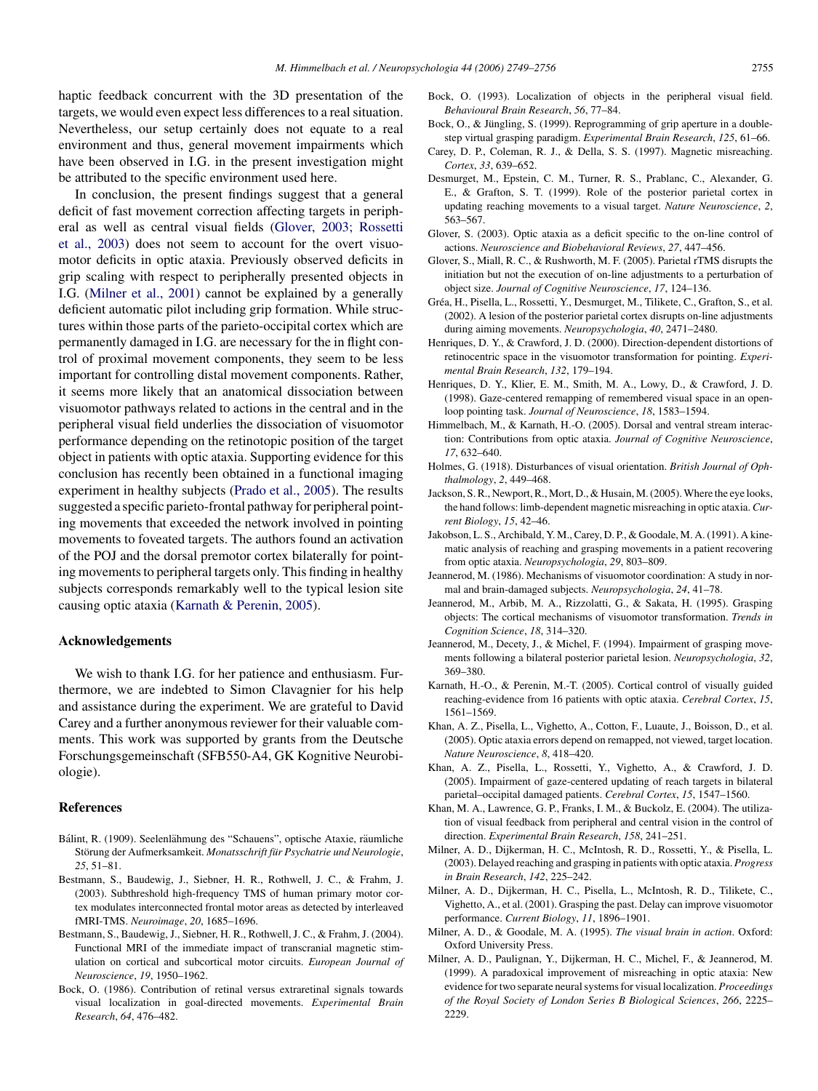<span id="page-6-0"></span>haptic feedback concurrent with the 3D presentation of the targets, we would even expect less differences to a real situation. Nevertheless, our setup certainly does not equate to a real environment and thus, general movement impairments which have been observed in I.G. in the present investigation might be attributed to the specific environment used here.

In conclusion, the present findings suggest that a general deficit of fast movement correction affecting targets in peripheral as well as central visual fields (Glover, 2003; Rossetti et al., 2003) does not seem to account for the overt visuomotor deficits in optic ataxia. Previously observed deficits in grip scaling with respect to peripherally presented objects in I.G. (Milner et al., 2001) cannot be explained by a generally deficient automatic pilot including grip formation. While structures within those parts of the parieto-occipital cortex which are permanently damaged in I.G. are necessary for the in flight control of proximal movement components, they seem to be less important for controlling distal movement components. Rather, it seems more likely that an anatomical dissociation between visuomotor pathways related to actions in the central and in the peripheral visual field underlies the dissociation of visuomotor performance depending on the retinotopic position of the target object in patients with optic ataxia. Supporting evidence for this conclusion has recently been obtained in a functional imaging experiment in healthy subjects [\(Prado et al., 2005\).](#page-7-0) The results suggested a specific parieto-frontal pathway for peripheral pointing movements that exceeded the network involved in pointing movements to foveated targets. The authors found an activation of the POJ and the dorsal premotor cortex bilaterally for pointing movements to peripheral targets only. This finding in healthy subjects corresponds remarkably well to the typical lesion site causing optic ataxia (Karnath & Perenin, 2005).

## **Acknowledgements**

We wish to thank I.G. for her patience and enthusiasm. Furthermore, we are indebted to Simon Clavagnier for his help and assistance during the experiment. We are grateful to David Carey and a further anonymous reviewer for their valuable comments. This work was supported by grants from the Deutsche Forschungsgemeinschaft (SFB550-A4, GK Kognitive Neurobiologie).

### **References**

- Bálint, R. (1909). Seelenlähmung des "Schauens", optische Ataxie, räumliche Störung der Aufmerksamkeit. Monatsschrift für Psychatrie und Neurologie, *25*, 51–81.
- Bestmann, S., Baudewig, J., Siebner, H. R., Rothwell, J. C., & Frahm, J. (2003). Subthreshold high-frequency TMS of human primary motor cortex modulates interconnected frontal motor areas as detected by interleaved fMRI-TMS. *Neuroimage*, *20*, 1685–1696.
- Bestmann, S., Baudewig, J., Siebner, H. R., Rothwell, J. C., & Frahm, J. (2004). Functional MRI of the immediate impact of transcranial magnetic stimulation on cortical and subcortical motor circuits. *European Journal of Neuroscience*, *19*, 1950–1962.
- Bock, O. (1986). Contribution of retinal versus extraretinal signals towards visual localization in goal-directed movements. *Experimental Brain Research*, *64*, 476–482.
- Bock, O. (1993). Localization of objects in the peripheral visual field. *Behavioural Brain Research*, *56*, 77–84.
- Bock, O., & Jüngling, S. (1999). Reprogramming of grip aperture in a doublestep virtual grasping paradigm. *Experimental Brain Research*, *125*, 61–66.
- Carey, D. P., Coleman, R. J., & Della, S. S. (1997). Magnetic misreaching. *Cortex*, *33*, 639–652.
- Desmurget, M., Epstein, C. M., Turner, R. S., Prablanc, C., Alexander, G. E., & Grafton, S. T. (1999). Role of the posterior parietal cortex in updating reaching movements to a visual target. *Nature Neuroscience*, *2*, 563–567.
- Glover, S. (2003). Optic ataxia as a deficit specific to the on-line control of actions. *Neuroscience and Biobehavioral Reviews*, *27*, 447–456.
- Glover, S., Miall, R. C., & Rushworth, M. F. (2005). Parietal rTMS disrupts the initiation but not the execution of on-line adjustments to a perturbation of object size. *Journal of Cognitive Neuroscience*, *17*, 124–136.
- Gréa, H., Pisella, L., Rossetti, Y., Desmurget, M., Tilikete, C., Grafton, S., et al. (2002). A lesion of the posterior parietal cortex disrupts on-line adjustments during aiming movements. *Neuropsychologia*, *40*, 2471–2480.
- Henriques, D. Y., & Crawford, J. D. (2000). Direction-dependent distortions of retinocentric space in the visuomotor transformation for pointing. *Experimental Brain Research*, *132*, 179–194.
- Henriques, D. Y., Klier, E. M., Smith, M. A., Lowy, D., & Crawford, J. D. (1998). Gaze-centered remapping of remembered visual space in an openloop pointing task. *Journal of Neuroscience*, *18*, 1583–1594.
- Himmelbach, M., & Karnath, H.-O. (2005). Dorsal and ventral stream interaction: Contributions from optic ataxia. *Journal of Cognitive Neuroscience*, *17*, 632–640.
- Holmes, G. (1918). Disturbances of visual orientation. *British Journal of Ophthalmology*, *2*, 449–468.
- Jackson, S. R., Newport, R., Mort, D., & Husain, M. (2005). Where the eye looks, the hand follows: limb-dependent magnetic misreaching in optic ataxia.*Current Biology*, *15*, 42–46.
- Jakobson, L. S., Archibald, Y. M., Carey, D. P., & Goodale, M. A. (1991). A kinematic analysis of reaching and grasping movements in a patient recovering from optic ataxia. *Neuropsychologia*, *29*, 803–809.
- Jeannerod, M. (1986). Mechanisms of visuomotor coordination: A study in normal and brain-damaged subjects. *Neuropsychologia*, *24*, 41–78.
- Jeannerod, M., Arbib, M. A., Rizzolatti, G., & Sakata, H. (1995). Grasping objects: The cortical mechanisms of visuomotor transformation. *Trends in Cognition Science*, *18*, 314–320.
- Jeannerod, M., Decety, J., & Michel, F. (1994). Impairment of grasping movements following a bilateral posterior parietal lesion. *Neuropsychologia*, *32*, 369–380.
- Karnath, H.-O., & Perenin, M.-T. (2005). Cortical control of visually guided reaching-evidence from 16 patients with optic ataxia. *Cerebral Cortex*, *15*, 1561–1569.
- Khan, A. Z., Pisella, L., Vighetto, A., Cotton, F., Luaute, J., Boisson, D., et al. (2005). Optic ataxia errors depend on remapped, not viewed, target location. *Nature Neuroscience*, *8*, 418–420.
- Khan, A. Z., Pisella, L., Rossetti, Y., Vighetto, A., & Crawford, J. D. (2005). Impairment of gaze-centered updating of reach targets in bilateral parietal–occipital damaged patients. *Cerebral Cortex*, *15*, 1547–1560.
- Khan, M. A., Lawrence, G. P., Franks, I. M., & Buckolz, E. (2004). The utilization of visual feedback from peripheral and central vision in the control of direction. *Experimental Brain Research*, *158*, 241–251.
- Milner, A. D., Dijkerman, H. C., McIntosh, R. D., Rossetti, Y., & Pisella, L. (2003). Delayed reaching and grasping in patients with optic ataxia. *Progress in Brain Research*, *142*, 225–242.
- Milner, A. D., Dijkerman, H. C., Pisella, L., McIntosh, R. D., Tilikete, C., Vighetto, A., et al. (2001). Grasping the past. Delay can improve visuomotor performance. *Current Biology*, *11*, 1896–1901.
- Milner, A. D., & Goodale, M. A. (1995). *The visual brain in action*. Oxford: Oxford University Press.
- Milner, A. D., Paulignan, Y., Dijkerman, H. C., Michel, F., & Jeannerod, M. (1999). A paradoxical improvement of misreaching in optic ataxia: New evidence for two separate neural systems for visual localization. *Proceedings of the Royal Society of London Series B Biological Sciences*, *266*, 2225– 2229.